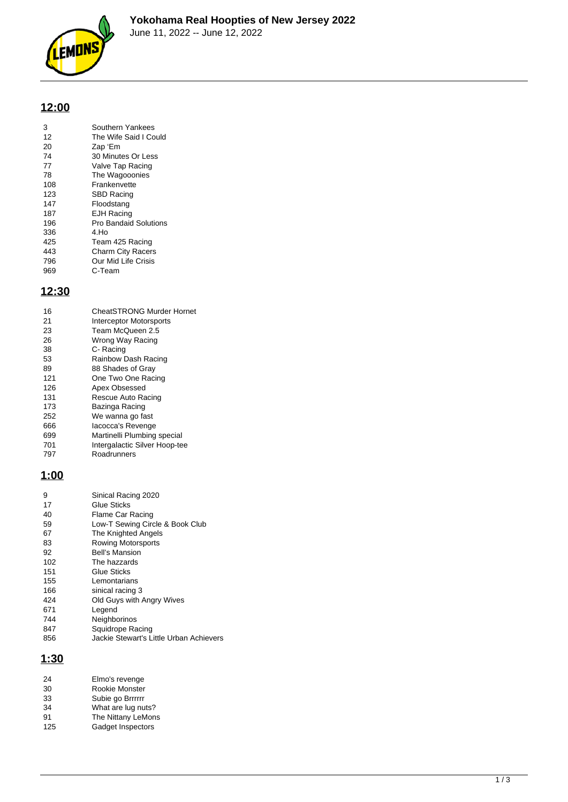

# **12:00**

| 3        | Southern Yankees                 |
|----------|----------------------------------|
| 12<br>20 | The Wife Said I Could<br>Zap 'Em |
|          |                                  |
| 74       | 30 Minutes Or Less               |
| 77       | Valve Tap Racing                 |
| 78       | The Wagooonies                   |
| 108      | Frankenvette                     |
| 123      | <b>SBD Racing</b>                |
| 147      | Floodstang                       |
| 187      | <b>EJH Racing</b>                |
| 196      | <b>Pro Bandaid Solutions</b>     |
| 336      | 4.Ho                             |
| 425      | Team 425 Racing                  |
| 443      | <b>Charm City Racers</b>         |
| 796      | Our Mid Life Crisis              |
| 969      | C-Team                           |

### **12:30**

| 16  | <b>CheatSTRONG Murder Hornet</b> |
|-----|----------------------------------|
| 21  | Interceptor Motorsports          |
| 23  | Team McQueen 2.5                 |
| 26  | Wrong Way Racing                 |
| 38  | C- Racing                        |
| 53  | Rainbow Dash Racing              |
| 89  | 88 Shades of Gray                |
| 121 | One Two One Racing               |
| 126 | Apex Obsessed                    |
| 131 | Rescue Auto Racing               |
| 173 | Bazinga Racing                   |
| 252 | We wanna go fast                 |
| 666 | lacocca's Revenge                |
| 699 | Martinelli Plumbing special      |
| 701 | Intergalactic Silver Hoop-tee    |
| 797 | Roadrunners                      |
|     |                                  |

#### **1:00**

| 9   | Sinical Racing 2020                     |
|-----|-----------------------------------------|
| 17  | Glue Sticks                             |
| 40  | Flame Car Racing                        |
| 59  | Low-T Sewing Circle & Book Club         |
| 67  | The Knighted Angels                     |
| 83  | Rowing Motorsports                      |
| 92  | <b>Bell's Mansion</b>                   |
| 102 | The hazzards                            |
| 151 | Glue Sticks                             |
| 155 | Lemontarians                            |
| 166 | sinical racing 3                        |
| 424 | Old Guys with Angry Wives               |
| 671 | Legend                                  |
| 744 | Neighborinos                            |
| 847 | Squidrope Racing                        |
| 856 | Jackie Stewart's Little Urban Achievers |
|     |                                         |

## **1:30**

| 24  | Elmo's revenge     |
|-----|--------------------|
| 30  | Rookie Monster     |
| 33  | Subie go Brrrrrr   |
| 34  | What are lug nuts? |
| 91  | The Nittany LeMons |
| 125 | Gadget Inspectors  |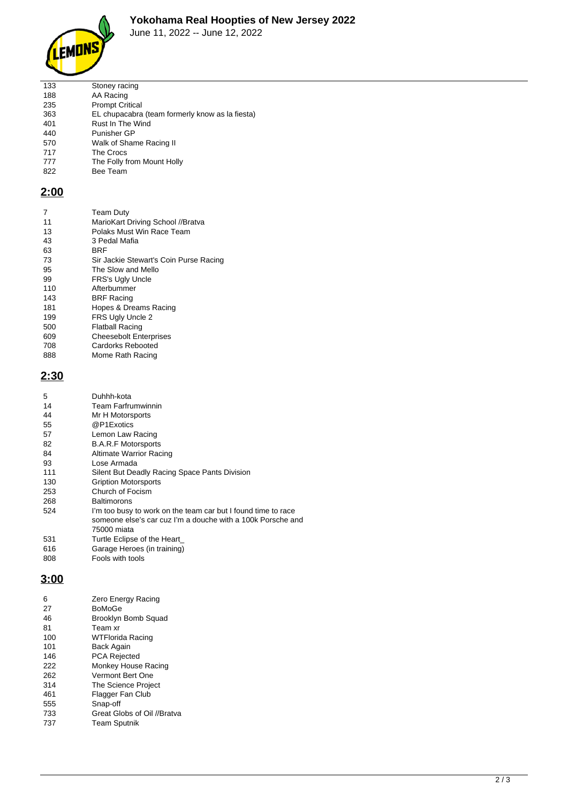

#### **Yokohama Real Hoopties of New Jersey 2022**

June 11, 2022 -- June 12, 2022

| 133 | Stoney racing                                   |
|-----|-------------------------------------------------|
| 188 | AA Racing                                       |
| 235 | <b>Prompt Critical</b>                          |
| 363 | EL chupacabra (team formerly know as la fiesta) |
| 401 | Rust In The Wind                                |
| 440 | Punisher GP                                     |
| 570 | Walk of Shame Racing II                         |
| 717 | The Crocs                                       |
| 777 | The Folly from Mount Holly                      |
| 822 | Bee Team                                        |
|     |                                                 |

### **2:00**

| 7   | <b>Team Duty</b>                       |
|-----|----------------------------------------|
| 11  | MarioKart Driving School //Bratva      |
| 13  | Polaks Must Win Race Team              |
| 43  | 3 Pedal Mafia                          |
| 63  | BRF                                    |
| 73  | Sir Jackie Stewart's Coin Purse Racing |
| 95  | The Slow and Mello                     |
| 99  | FRS's Ugly Uncle                       |
| 110 | Afterbummer                            |
| 143 | <b>BRF Racing</b>                      |
| 181 | Hopes & Dreams Racing                  |
| 199 | FRS Ugly Uncle 2                       |
| 500 | Flatball Racing                        |
| 609 | <b>Cheesebolt Enterprises</b>          |
| 708 | Cardorks Rebooted                      |
| 888 | Mome Rath Racing                       |

# **2:30**

| 5   | Duhhh-kota                                                                                                                                  |
|-----|---------------------------------------------------------------------------------------------------------------------------------------------|
| 14  | <b>Team Farfrumwinnin</b>                                                                                                                   |
| 44  | Mr H Motorsports                                                                                                                            |
| 55  | @P1Exotics                                                                                                                                  |
| 57  | Lemon Law Racing                                                                                                                            |
| 82  | <b>B.A.R.F Motorsports</b>                                                                                                                  |
| 84  | <b>Altimate Warrior Racing</b>                                                                                                              |
| 93  | Lose Armada                                                                                                                                 |
| 111 | Silent But Deadly Racing Space Pants Division                                                                                               |
| 130 | <b>Gription Motorsports</b>                                                                                                                 |
| 253 | Church of Focism                                                                                                                            |
| 268 | <b>Baltimorons</b>                                                                                                                          |
| 524 | I'm too busy to work on the team car but I found time to race<br>someone else's car cuz I'm a douche with a 100k Porsche and<br>75000 miata |
| 531 | Turtle Eclipse of the Heart                                                                                                                 |
| 616 | Garage Heroes (in training)                                                                                                                 |
| 808 | Fools with tools                                                                                                                            |
|     |                                                                                                                                             |

#### **3:00**

| 6   | Zero Energy Racing          |
|-----|-----------------------------|
| 27  | BoMoGe                      |
| 46  | Brooklyn Bomb Squad         |
| 81  | Team xr                     |
| 100 | WTFlorida Racing            |
| 101 | Back Again                  |
| 146 | <b>PCA Rejected</b>         |
| 222 | Monkey House Racing         |
| 262 | Vermont Bert One            |
| 314 | The Science Project         |
| 461 | Flagger Fan Club            |
| 555 | Snap-off                    |
| 733 | Great Globs of Oil //Bratva |
| 737 | <b>Team Sputnik</b>         |